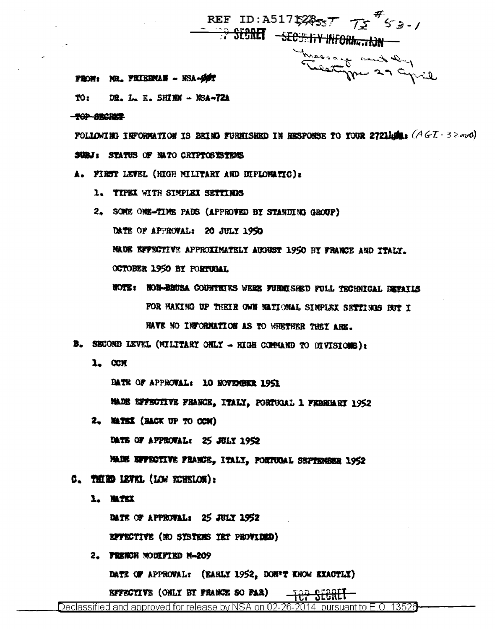REF ID: A517528557 75 55.1 <del>the Second Secondy Information</del> Theosaid and Dy

#### FROM: MR. FRIEDMAN - NSA-ØØT

TO: DR. L. E. SHIRN - NSA-72A

#### **TOP SECRET**

FOLLOWING INFORMATION IS BEING FURNISHED IN RESPONSE TO YOUR 2721home: (AGI-32010) SUBJ: STATUS OF BATO CRYPTOSYSTEMS

- A. FIRST LEVEL (HIGH MILITARY AND DIPLOMATIC):
	- 1. TYPEX WITH SIMPLEX SETTIMES
	- 2. SOME ONE-TIME PADS (APPROVED BY STANDING GROUP) DATE OF APPROVAL: 20 JULY 1950 MADE EFFECTIVE APPROXIMATELY AUGUST 1950 BY FRANCE AND ITALY. OCTOBER 1950 BY PORTUGAL
		- NOTE: NON-BRUSA COUNTRIES WERE FURNISHED FULL TECHNICAL DETAILS FOR MAKING UP THEIR OWN NATIONAL SINPLEX SETTINGS BUT I HAVE NO INFORMATION AS TO WHETHER THEY ARE.
- B. SECOND LEVEL (MILITARY ONLY HIGH COMMAND TO DIVISIONS):
	- 1. CCM

DATE OF APPROVAL: 10 NOVEMBER 1951

MADE EFFECTIVE FRANCE, ITALY, PORTUGAL 1 FEBRUARY 1952

2. MATEX (BACK UP TO OCK) DATE OF APPROVAL: 25 JULY 1952

MADE EFFECTIVE FRANCE, ITALY, PORTUGAL SEPTEMBER 1952

- C. THIRD LEVEL (LOW ECHELOR):
	- 1. WTKX

DATE OF APPROVAL: 25 JULY 1952

EFFECTIVE (NO SYSTEMS YET PROVIDED)

2. FRENCH MODIFIED M-209

DATE OF APPROVAL: (EARLY 1952, DON'T KNOW EXACTLY)

EFFECTIVE (ONLY BY FRANCE SO FAR)

Declassified and approved for release by NSA on 02-26-2014 pursuant to E.O. 13526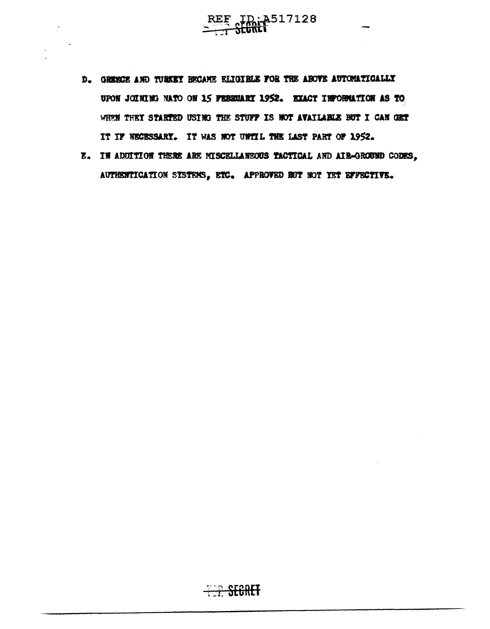- D. GERECE AND TURKEY BECANE ELIGIBLE FOR THE ABOVE AUTOMATICALLY UPON JOINING NATO ON 15 FEBRUARY 1952. EXACT INFORMATION AS TO WHEN THEY STARTED USING THE STUFF IS NOT AVAILABLE BUT I CAN GET IT IF NECESSARY. IT WAS NOT UNITL THE LAST PART OF 1952.
- E. IN ADUITION THERE ARE MISCELLANEOUS TACTICAL AND AIR-GROUND CODES, AUTHENTICATION SYSTEMS, ETC. APPROVED EUT NOT YET EFFECTIVE.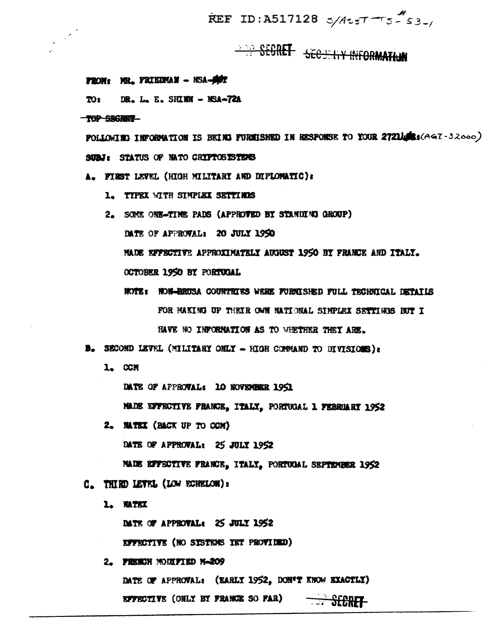REF ID:A517128  $5/4557 - 555$ 

# **TOO CCORET SECRET ITY INFORMATION**

# FROM: MR. FRIEDMAN - NSA-ØDT

**DR. L. E. SHIRN - NSA-72A** TO<sub>2</sub>

### TOP SEGRET

FOLLOWING INFORMATION IS BEING FURNISHED IN HESPONSE TO YOUR 2721400: (AGT-32000) SUBJ: STATUS OF MATO CRIPTOSISTEMS

A. FIRST LEVEL (HIGH MILITARY AND DIFLOMATIC):

- 1. TYPEX WITH SIMPLEX SETTIMES
- 2. SOME ONE-TIME PADS (APPROTED BY STANDING GROUP) DATE OF APPROVAL: 20 JULY 1950 MADE EFFECTIVE APPROXIMATELY AUGUST 1950 BY FRANCE AND ITALY. OCTOBER 1950 BY PORTUGAL
	- NOTE: NON-HRUSA COUNTRIES WERE FURNISHED FULL TECHNICAL DETAILS FOR HAKING UP THEIR OWN NATIONAL SIMPLEX SETTINGS BUT I HAVE NO INFORMATION AS TO WHETHER THEY ARE.
- B. SECOND LEVEL (MILITARY ONLY HIGH CONSAND TO DIVISIONS):
	- 1. CCM

DATE OF APPROVAL: 10 NOVEMBER 1951

MADE EFFECTIVE FRANCE, ITALY, PORTUGAL 1 FEBRUARY 1952

2. MATEX (BACK UP TO COM)

DATE OF APPROVAL: 25 JULY 1952

NAIS EFFECTIVE FRANCE, ITALY, PORTUGAL SEPTEMBER 1952

C. THIRD LEVEL (LOW ECHELON):

1. WATEX

DATE OF APPROVAL: 25 JULY 1952

EFFECTIVE (NO SYSTEMS YET PROVIDED)

2. FRENCH MODIFIED M-209

DATE OF APPROVAL: (EARLY 1952, DON'T KNOW EXACTLY) **SPYECTIVE** (OHLY BY FRANCE SO FAR) - SECRET-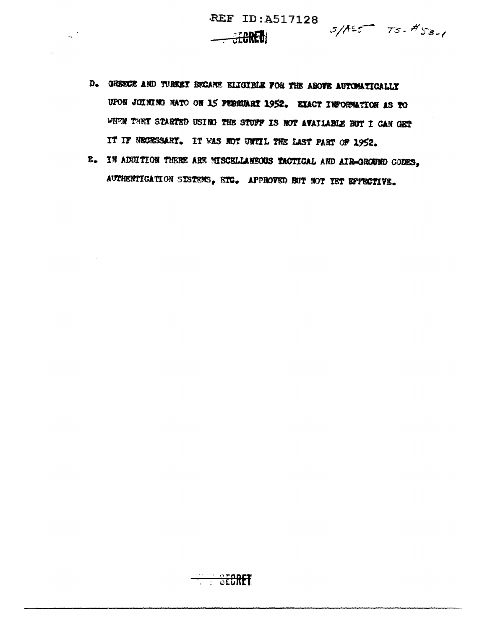$\frac{1}{2\pi}$  .

- $5/155 75 453.$
- D. GREECE AND TURKEY BECAME ELIGIBLE FOR THE ABOVE AUTOMATICALLY UPON JOINING NATO ON 15 FEBRUARY 1952. EXACT INFORMATION AS TO WHEN THEY STARTED USING THE STUFF IS NOT AVAILABLE BUT I CAN GET IT IF NECESSARY. IT WAS NOT UNTIL THE LAST PART OF 1952.

**SEGRET** 

B. IN ADDITION THERE ARE MISCELLANEOUS TACTICAL AND AIR-GROUND CODES, AUTHENTICATION SISTEMS, ETC. APPROVED BUT NOT IST EFFECTIVE.

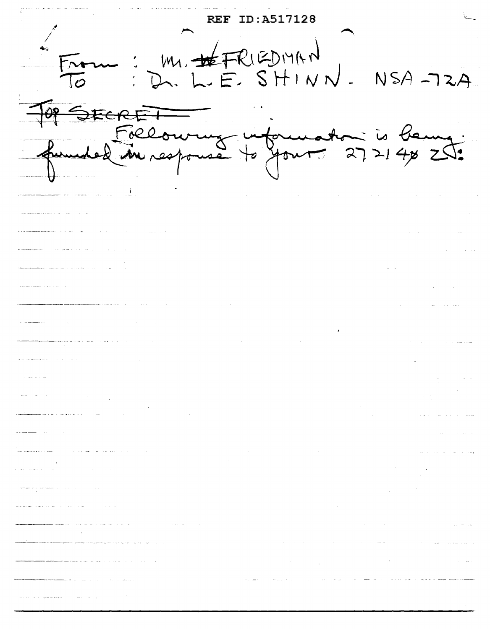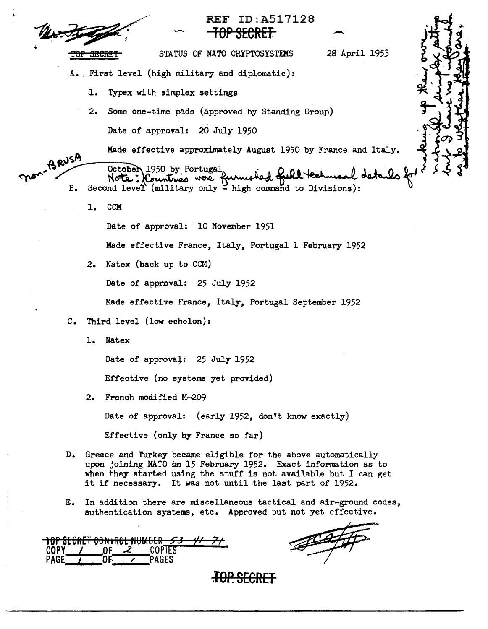

# REF ID:A517128<br>
<del>- TOP SECRET</del>

STATUS OF NATO CRYPTOSYSTEMS 28 April 1953

- A. First level (high military and diplomatic):
	- 1. Typex with simplex settings
	- 2. Some one-time pads (approved by Standing Group) Date of approval: 20 July 1950

Made effective approximately August 1950 by France and Italy.

we approximately detected by Portugal.

- Made effective approximately August 1950 by France and Italy.<br>October 1950 by Portugal<br>B. Second level (military only high command to Divisions):
	- 1. CCM

Date of approval: 10 November 1951

Made effective France, Italy, Portugal 1 February 1952

2. Natex (back up to CCM)

Date of approval: 25 July 1952

Made effective France, Italy, Portugal September 1952

- C. Third level (low echelon):
	- 1. Natex

Date of approval: 25 July 1952

Effective (no systems yet provided)

2. French modified M-209

Date of approval: (early 1952, don't know exactly)

Effective (only by France so far)

- D. Greece and Turkey became eligible for the above automatically upon joining NATO on 15 February 1952. Exact information as to when they started using the stuff is not available but I can get it if necessary. It was not until the last part of 1952.
- E. In addition there are miscellaneous tactical and air-ground codes, authentication systems, etc. Approved but not yet effective.

|             | <u>TOP SEGRET CONTROL NUMBER</u> | ~ -  |  |
|-------------|----------------------------------|------|--|
| <b>CODY</b> |                                  |      |  |
|             |                                  | AGES |  |

<del>top.secret</del>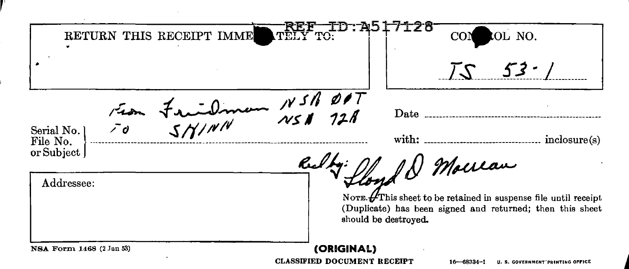RETURN THIS RECEIPT IMME REF TD: A517128 COM  $\text{V}\text{E}\text{E}\text{Y}$  to:  $\text{F}\text{F}$   $\text{F}$   $\text{F}$   $\text{F}$   $\text{F}$   $\text{F}$   $\text{F}$   $\text{F}$   $\text{F}$   $\text{F}$   $\text{F}$   $\text{F}$   $\text{F}$   $\text{F}$   $\text{F}$   $\text{F}$   $\text{F}$   $\text{F}$   $\text{F}$   $\text{F}$   $\text{F}$   $\text{F}$   $\text{F}$   $\text{F}$   $75$   $53$   $/$ Fran Friedman N<sup>311</sup>  $\overline{\mathcal{Q} \bullet T} \atop 72.8$  $~^{\text{Perial No.}}$ <br>File No.  $~^{\text{2}}\text{O}$   $~^{\text{2}}\text{O}$   $~^{\text{2}}\text{O}$   $~^{\text{2}}\text{O}$   $~^{\text{2}}\text{O}$  with:  $~^{\text{unitic}}$  inclosure(s) Date \_\_\_\_\_\_\_\_ ----------------------------------------------- Rully: floyd & Mouran NOTE.  $\cancel{\text{f}}$ This sheet to be retained in suspense file until receipt (Duplicate) has been signed and returned; then this sheet should be destroyed. NSA Form 1468 (2 Jan 53) **(ORIGINAL)** 

CLASSIFIED DOCUMENT RECEIPT 16-68334-1 U. S. GOVERNMENT PRINTING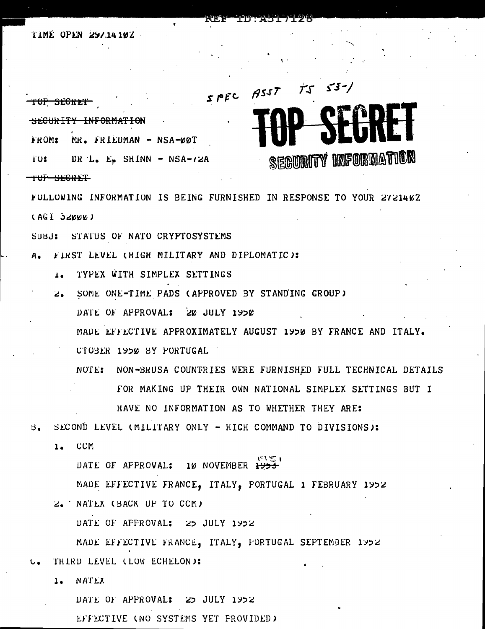## TIME OPEN 297.14.102



FOLLOWING INFORMATION IS BEING FURNISHED IN RESPONSE TO YOUR 2721402 (AGI 32000)

SUBJ: STATUS OF NATO CRYPTOSYSTEMS

- A. FIRST LEVEL CHIGH MILITARY AND DIPLOMATIC):
	- 1. TYPEX WITH SIMPLEX SETTINGS
	- 2. SOME ONE-TIME PADS (APPROVED BY STANDING GROUP) DATE OF APPROVAL: 20 JULY 1950
		- MADE EFFECTIVE APPROXIMATELY AUGUST 1950 BY FRANCE AND ITALY.
		- CTOBER 1950 BY FORTUGAL
		- NOTE: NON-BRUSA COUNTRIES WERE FURNISHED FULL TECHNICAL DETAILS FOR MAKING UP THEIR OWN NATIONAL SIMPLEX SETTINGS BUT I

HAVE NO INFORMATION AS TO WHETHER THEY ARE:

SECOND LEVEL (MILITARY ONLY - HIGH COMMAND TO DIVISIONS):  $B$ .

1. CCM

DATE OF APPROVAL: 10 NOVEMBER 1955

MADE EFFECTIVE FRANCE, ITALY, PORTUGAL 1 FEBRUARY 1952

2. NATEX (BACK UP TO CCM)

DATE OF APPROVAL: 25 JULY 1952

MADE EFFECTIVE FRANCE, ITALY, FORTUGAL SEPTEMBER 1952 THIRD LEVEL (LOW ECHELON):

NATEX  $1 -$ 

> DATE OF APPROVAL: 25 JULY 1952 EFFECTIVE (NO SYSTEMS YET PROVIDED)